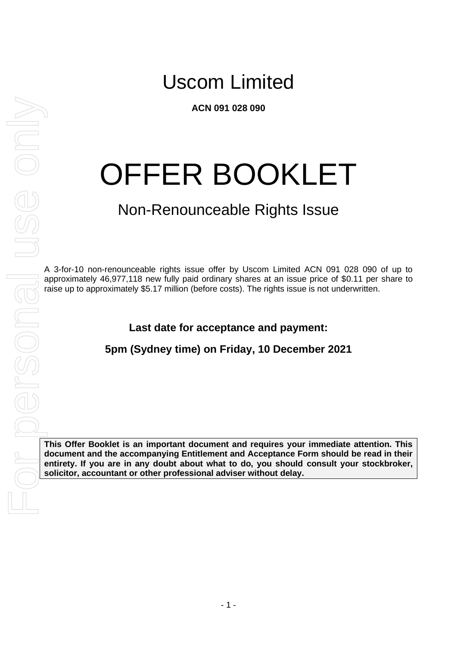**ACN 091 028 090**

# OFFER BOOKLET

# Non-Renounceable Rights Issue

A 3-for-10 non-renounceable rights issue offer by Uscom Limited ACN 091 028 090 of up to approximately 46,977,118 new fully paid ordinary shares at an issue price of \$0.11 per share to raise up to approximately \$5.17 million (before costs). The rights issue is not underwritten.

**Last date for acceptance and payment:**

**5pm (Sydney time) on Friday, 10 December 2021**

**This Offer Booklet is an important document and requires your immediate attention. This document and the accompanying Entitlement and Acceptance Form should be read in their entirety. If you are in any doubt about what to do, you should consult your stockbroker,**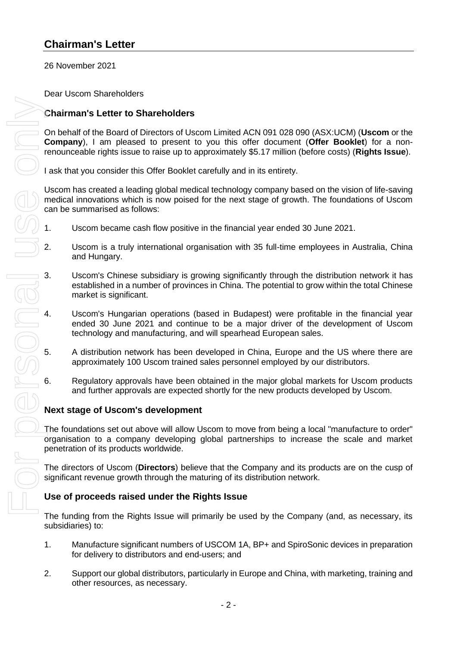### **Chairman's Letter**

26 November 2021

Dear Uscom Shareholders

#### **Chairman's Letter to Shareholders**

On behalf of the Board of Directors of Uscom Limited ACN 091 028 090 (ASX:UCM) (**Uscom** or the **Company**), I am pleased to present to you this offer document (**Offer Booklet**) for a nonrenounceable rights issue to raise up to approximately \$5.17 million (before costs) (**Rights Issue**).

I ask that you consider this Offer Booklet carefully and in its entirety.

Uscom has created a leading global medical technology company based on the vision of life-saving medical innovations which is now poised for the next stage of growth. The foundations of Uscom can be summarised as follows:

- 1. Uscom became cash flow positive in the financial year ended 30 June 2021.
- 2. Uscom is a truly international organisation with 35 full-time employees in Australia, China and Hungary.
- 3. Uscom's Chinese subsidiary is growing significantly through the distribution network it has established in a number of provinces in China. The potential to grow within the total Chinese market is significant.
- 4. Uscom's Hungarian operations (based in Budapest) were profitable in the financial year ended 30 June 2021 and continue to be a major driver of the development of Uscom technology and manufacturing, and will spearhead European sales.
- 5. A distribution network has been developed in China, Europe and the US where there are approximately 100 Uscom trained sales personnel employed by our distributors.
- 6. Regulatory approvals have been obtained in the major global markets for Uscom products and further approvals are expected shortly for the new products developed by Uscom.

#### **Next stage of Uscom's development**

The foundations set out above will allow Uscom to move from being a local "manufacture to order" organisation to a company developing global partnerships to increase the scale and market penetration of its products worldwide.

The directors of Uscom (**Directors**) believe that the Company and its products are on the cusp of significant revenue growth through the maturing of its distribution network.

#### **Use of proceeds raised under the Rights Issue**

The funding from the Rights Issue will primarily be used by the Company (and, as necessary, its subsidiaries) to:

- 1. Manufacture significant numbers of USCOM 1A, BP+ and SpiroSonic devices in preparation for delivery to distributors and end-users; and
- 2. Support our global distributors, particularly in Europe and China, with marketing, training and other resources, as necessary.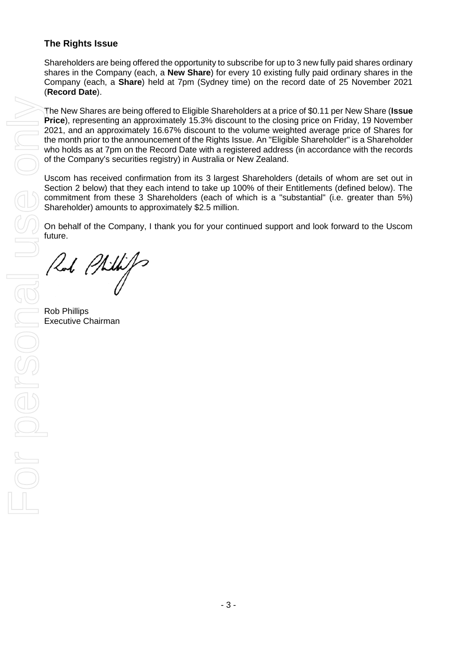#### **The Rights Issue**

Shareholders are being offered the opportunity to subscribe for up to 3 new fully paid shares ordinary shares in the Company (each, a **New Share**) for every 10 existing fully paid ordinary shares in the Company (each, a **Share**) held at 7pm (Sydney time) on the record date of 25 November 2021 (**Record Date**).

The New Shares are being offered to Eligible Shareholders at a price of \$0.11 per New Share (**Issue Price**), representing an approximately 15.3% discount to the closing price on Friday, 19 November 2021, and an approximately 16.67% discount to the volume weighted average price of Shares for the month prior to the announcement of the Rights Issue. An "Eligible Shareholder" is a Shareholder who holds as at 7pm on the Record Date with a registered address (in accordance with the records of the Company's securities registry) in Australia or New Zealand.

Uscom has received confirmation from its 3 largest Shareholders (details of whom are set out in Section [2](#page-6-0) below) that they each intend to take up 100% of their Entitlements (defined below). The commitment from these 3 Shareholders (each of which is a "substantial" (i.e. greater than 5%) Shareholder) amounts to approximately \$2.5 million.

On behalf of the Company, I thank you for your continued support and look forward to the Uscom future.

Rob Phillips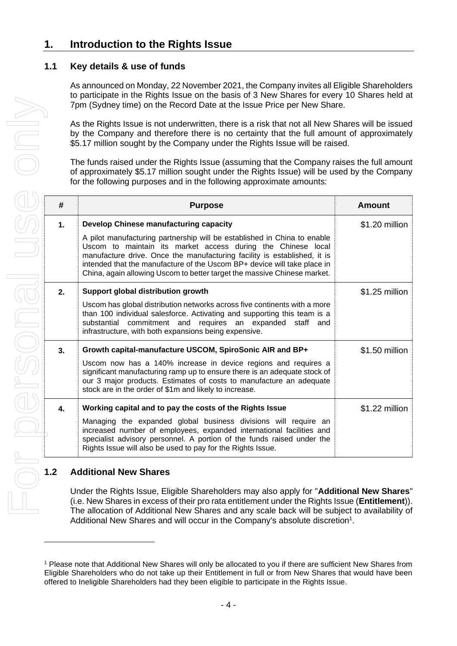### **1. Introduction to the Rights Issue**

#### **1.1 Key details & use of funds**

As announced on Monday, 22 November 2021, the Company invites all Eligible Shareholders to participate in the Rights Issue on the basis of 3 New Shares for every 10 Shares held at 7pm (Sydney time) on the Record Date at the Issue Price per New Share.

| #  | <b>Purpose</b>                                                                                                                                                                                                                                                                                                                                                                                                         | <b>Amount</b>  |
|----|------------------------------------------------------------------------------------------------------------------------------------------------------------------------------------------------------------------------------------------------------------------------------------------------------------------------------------------------------------------------------------------------------------------------|----------------|
| 1. | Develop Chinese manufacturing capacity<br>A pilot manufacturing partnership will be established in China to enable<br>Uscom to maintain its market access during the Chinese local<br>manufacture drive. Once the manufacturing facility is established, it is<br>intended that the manufacture of the Uscom BP+ device will take place in<br>China, again allowing Uscom to better target the massive Chinese market. | \$1.20 million |
| 2. | Support global distribution growth<br>Uscom has global distribution networks across five continents with a more<br>than 100 individual salesforce. Activating and supporting this team is a<br>substantial commitment and requires an expanded<br>staff and<br>infrastructure, with both expansions being expensive.                                                                                                   | \$1.25 million |
| 3. | Growth capital-manufacture USCOM, SpiroSonic AIR and BP+<br>Uscom now has a 140% increase in device regions and requires a<br>significant manufacturing ramp up to ensure there is an adequate stock of<br>our 3 major products. Estimates of costs to manufacture an adequate<br>stock are in the order of \$1m and likely to increase.                                                                               | \$1.50 million |
| 4. | Working capital and to pay the costs of the Rights Issue<br>Managing the expanded global business divisions will require an<br>increased number of employees, expanded international facilities and<br>specialist advisory personnel. A portion of the funds raised under the<br>Rights Issue will also be used to pay for the Rights Issue.                                                                           | \$1.22 million |

#### **1.2 Additional New Shares**

<sup>1</sup> Please note that Additional New Shares will only be allocated to you if there are sufficient New Shares from Eligible Shareholders who do not take up their Entitlement in full or from New Shares that would have been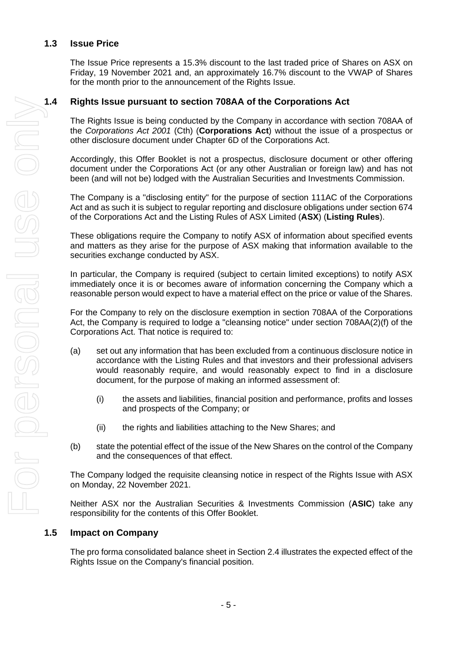#### **1.3 Issue Price**

The Issue Price represents a 15.3% discount to the last traded price of Shares on ASX on Friday, 19 November 2021 and, an approximately 16.7% discount to the VWAP of Shares for the month prior to the announcement of the Rights Issue.

The Rights Issue is being conducted by the Company in accordance with section 708AA of the *Corporations Act 2001* (Cth) (**Corporations Act**) without the issue of a prospectus or other disclosure document under Chapter 6D of the Corporations Act.

Accordingly, this Offer Booklet is not a prospectus, disclosure document or other offering document under the Corporations Act (or any other Australian or foreign law) and has not been (and will not be) lodged with the Australian Securities and Investments Commission.

The Company is a "disclosing entity" for the purpose of section 111AC of the Corporations Act and as such it is subject to regular reporting and disclosure obligations under section 674 of the Corporations Act and the Listing Rules of ASX Limited (**ASX**) (**Listing Rules**).

These obligations require the Company to notify ASX of information about specified events and matters as they arise for the purpose of ASX making that information available to the securities exchange conducted by ASX.

In particular, the Company is required (subject to certain limited exceptions) to notify ASX immediately once it is or becomes aware of information concerning the Company which a reasonable person would expect to have a material effect on the price or value of the Shares.

For the Company to rely on the disclosure exemption in section 708AA of the Corporations Act, the Company is required to lodge a "cleansing notice" under section 708AA(2)(f) of the Corporations Act. That notice is required to:

- (a) set out any information that has been excluded from a continuous disclosure notice in accordance with the Listing Rules and that investors and their professional advisers would reasonably require, and would reasonably expect to find in a disclosure document, for the purpose of making an informed assessment of:
	- (i) the assets and liabilities, financial position and performance, profits and losses and prospects of the Company; or
	- (ii) the rights and liabilities attaching to the New Shares; and
- (b) state the potential effect of the issue of the New Shares on the control of the Company and the consequences of that effect.

The Company lodged the requisite cleansing notice in respect of the Rights Issue with ASX on Monday, 22 November 2021.

Neither ASX nor the Australian Securities & Investments Commission (**ASIC**) take any responsibility for the contents of this Offer Booklet.

#### **1.5 Impact on Company**

The pro forma consolidated balance sheet in Section [2.4](#page-7-0) illustrates the expected effect of the Rights Issue on the Company's financial position.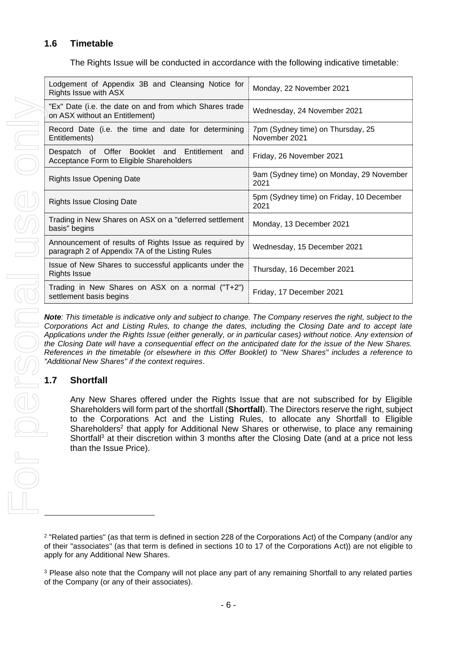#### <span id="page-5-0"></span>**1.6 Timetable**

The Rights Issue will be conducted in accordance with the following indicative timetable:

| Lodgement of Appendix 3B and Cleansing Notice for<br>Rights Issue with ASX                                                                                                                                                                                                                                                                                                                                                                                                                                                         | Monday, 22 November 2021                           |
|------------------------------------------------------------------------------------------------------------------------------------------------------------------------------------------------------------------------------------------------------------------------------------------------------------------------------------------------------------------------------------------------------------------------------------------------------------------------------------------------------------------------------------|----------------------------------------------------|
| "Ex" Date (i.e. the date on and from which Shares trade<br>on ASX without an Entitlement)                                                                                                                                                                                                                                                                                                                                                                                                                                          | Wednesday, 24 November 2021                        |
| Record Date (i.e. the time and date for determining<br>Entitlements)                                                                                                                                                                                                                                                                                                                                                                                                                                                               | 7pm (Sydney time) on Thursday, 25<br>November 2021 |
| Despatch of Offer Booklet and Entitlement and<br>Acceptance Form to Eligible Shareholders                                                                                                                                                                                                                                                                                                                                                                                                                                          | Friday, 26 November 2021                           |
| <b>Rights Issue Opening Date</b>                                                                                                                                                                                                                                                                                                                                                                                                                                                                                                   | 9am (Sydney time) on Monday, 29 November<br>2021   |
| <b>Rights Issue Closing Date</b>                                                                                                                                                                                                                                                                                                                                                                                                                                                                                                   | 5pm (Sydney time) on Friday, 10 December<br>2021   |
| Trading in New Shares on ASX on a "deferred settlement<br>basis" begins                                                                                                                                                                                                                                                                                                                                                                                                                                                            | Monday, 13 December 2021                           |
| Announcement of results of Rights Issue as required by<br>paragraph 2 of Appendix 7A of the Listing Rules                                                                                                                                                                                                                                                                                                                                                                                                                          | Wednesday, 15 December 2021                        |
| Issue of New Shares to successful applicants under the<br><b>Rights Issue</b>                                                                                                                                                                                                                                                                                                                                                                                                                                                      | Thursday, 16 December 2021                         |
| Trading in New Shares on ASX on a normal ("T+2")<br>settlement basis begins                                                                                                                                                                                                                                                                                                                                                                                                                                                        | Friday, 17 December 2021                           |
| Corporations Act and Listing Rules, to change the dates, including the Closing Date and to accept late<br>Applications under the Rights Issue (either generally, or in particular cases) without notice. Any extension of<br>the Closing Date will have a consequential effect on the anticipated date for the issue of the New Shares.<br>References in the timetable (or elsewhere in this Offer Booklet) to "New Shares" includes a reference to<br>"Additional New Shares" if the context requires.<br><b>Shortfall</b><br>1.7 |                                                    |
| Any New Shares offered under the Rights Issue that are not subscribed for by Eligible<br>Shareholders will form part of the shortfall (Shortfall). The Directors reserve the right, subject<br>to the Corporations Act and the Listing Rules, to allocate any Shortfall to Eligible<br>Shareholders <sup>2</sup> that apply for Additional New Shares or otherwise, to place any remaining<br>Shortfall <sup>3</sup> at their discretion within 3 months after the Closing Date (and at a price not less<br>than the Issue Price). |                                                    |
| <sup>2</sup> "Related parties" (as that term is defined in section 228 of the Corporations Act) of the Company (and/or any<br>of their "associates" (as that term is defined in sections 10 to 17 of the Corporations Act)) are not eligible to<br>apply for any Additional New Shares.<br><sup>3</sup> Please also note that the Company will not place any part of any remaining Shortfall to any related parties<br>of the Company (or any of their associates).                                                                |                                                    |

#### **1.7 Shortfall**

<sup>2</sup> "Related parties" (as that term is defined in section 228 of the Corporations Act) of the Company (and/or any of their "associates" (as that term is defined in sections 10 to 17 of the Corporations Act)) are not eligible to apply for any Additional New Shares.

<sup>&</sup>lt;sup>3</sup> Please also note that the Company will not place any part of any remaining Shortfall to any related parties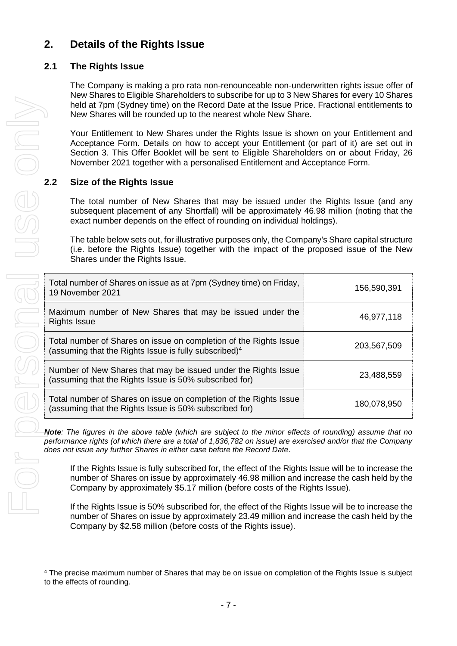### <span id="page-6-0"></span>**2. Details of the Rights Issue**

#### **2.1 The Rights Issue**

The Company is making a pro rata non-renounceable non-underwritten rights issue offer of New Shares to Eligible Shareholders to subscribe for up to 3 New Shares for every 10 Shares held at 7pm (Sydney time) on the Record Date at the Issue Price. Fractional entitlements to New Shares will be rounded up to the nearest whole New Share.

Your Entitlement to New Shares under the Rights Issue is shown on your Entitlement and Acceptance Form. Details on how to accept your Entitlement (or part of it) are set out in Section [3.](#page-15-0) This Offer Booklet will be sent to Eligible Shareholders on or about Friday, 26 November 2021 together with a personalised Entitlement and Acceptance Form.

#### **2.2 Size of the Rights Issue**

The total number of New Shares that may be issued under the Rights Issue (and any subsequent placement of any Shortfall) will be approximately 46.98 million (noting that the exact number depends on the effect of rounding on individual holdings).

The table below sets out, for illustrative purposes only, the Company's Share capital structure (i.e. before the Rights Issue) together with the impact of the proposed issue of the New Shares under the Rights Issue.

| Total number of Shares on issue as at 7pm (Sydney time) on Friday,<br>19 November 2021                                                 | 156,590,391 |
|----------------------------------------------------------------------------------------------------------------------------------------|-------------|
| Maximum number of New Shares that may be issued under the<br><b>Rights Issue</b>                                                       | 46,977,118  |
| Total number of Shares on issue on completion of the Rights Issue<br>(assuming that the Rights Issue is fully subscribed) <sup>4</sup> | 203,567,509 |
| Number of New Shares that may be issued under the Rights Issue<br>(assuming that the Rights Issue is 50% subscribed for)               | 23,488,559  |
| Total number of Shares on issue on completion of the Rights Issue<br>(assuming that the Rights Issue is 50% subscribed for)            | 180,078,950 |

*Note: The figures in the above table (which are subject to the minor effects of rounding) assume that no performance rights (of which there are a total of 1,836,782 on issue) are exercised and/or that the Company does not issue any further Shares in either case before the Record Date*.

If the Rights Issue is fully subscribed for, the effect of the Rights Issue will be to increase the number of Shares on issue by approximately 46.98 million and increase the cash held by the Company by approximately \$5.17 million (before costs of the Rights Issue).

If the Rights Issue is 50% subscribed for, the effect of the Rights Issue will be to increase the number of Shares on issue by approximately 23.49 million and increase the cash held by the Company by \$2.58 million (before costs of the Rights issue).

<sup>4</sup> The precise maximum number of Shares that may be on issue on completion of the Rights Issue is subject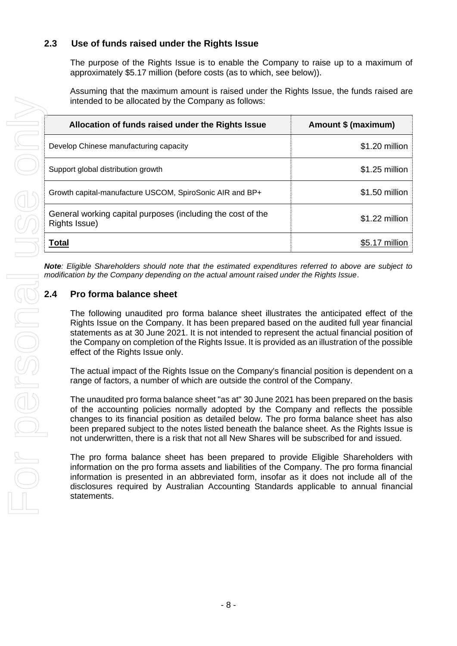#### **2.3 Use of funds raised under the Rights Issue**

The purpose of the Rights Issue is to enable the Company to raise up to a maximum of approximately \$5.17 million (before costs (as to which, see below)).

Assuming that the maximum amount is raised under the Rights Issue, the funds raised are intended to be allocated by the Company as follows:

| Allocation of funds raised under the Rights Issue                            | Amount \$ (maximum) |
|------------------------------------------------------------------------------|---------------------|
| Develop Chinese manufacturing capacity                                       | \$1.20 million      |
| Support global distribution growth                                           | $$1.25$ million     |
| Growth capital-manufacture USCOM, SpiroSonic AIR and BP+                     | \$1.50 million      |
| General working capital purposes (including the cost of the<br>Rights Issue) | \$1.22 million      |
| Total                                                                        | \$5.17 million      |

<span id="page-7-0"></span>*Note: Eligible Shareholders should note that the estimated expenditures referred to above are subject to modification by the Company depending on the actual amount raised under the Rights Issue*.

The following unaudited pro forma balance sheet illustrates the anticipated effect of the Rights Issue on the Company. It has been prepared based on the audited full year financial statements as at 30 June 2021. It is not intended to represent the actual financial position of the Company on completion of the Rights Issue. It is provided as an illustration of the possible effect of the Rights Issue only.

The actual impact of the Rights Issue on the Company's financial position is dependent on a range of factors, a number of which are outside the control of the Company.

The unaudited pro forma balance sheet "as at" 30 June 2021 has been prepared on the basis of the accounting policies normally adopted by the Company and reflects the possible changes to its financial position as detailed below. The pro forma balance sheet has also been prepared subject to the notes listed beneath the balance sheet. As the Rights Issue is not underwritten, there is a risk that not all New Shares will be subscribed for and issued.

The pro forma balance sheet has been prepared to provide Eligible Shareholders with information on the pro forma assets and liabilities of the Company. The pro forma financial information is presented in an abbreviated form, insofar as it does not include all of the disclosures required by Australian Accounting Standards applicable to annual financial statements.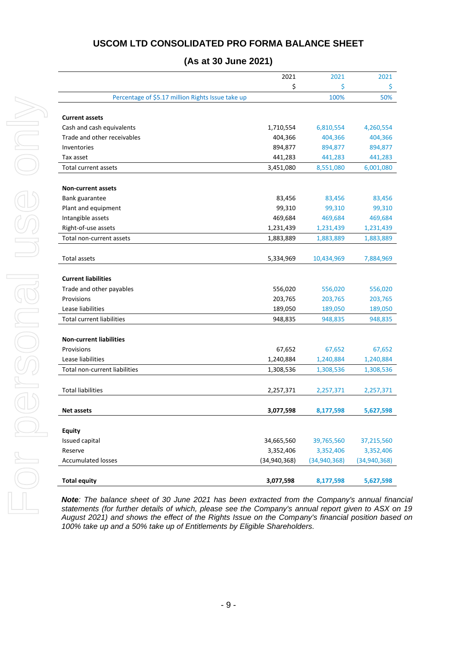#### **USCOM LTD CONSOLIDATED PRO FORMA BALANCE SHEET**

#### **(As at 30 June 2021)**

|                                                   | 2021           | 2021           | 2021           |
|---------------------------------------------------|----------------|----------------|----------------|
|                                                   | \$             | \$             | \$             |
| Percentage of \$5.17 million Rights Issue take up |                | 100%           | 50%            |
|                                                   |                |                |                |
| <b>Current assets</b>                             |                |                |                |
| Cash and cash equivalents                         | 1,710,554      | 6,810,554      | 4,260,554      |
| Trade and other receivables                       | 404,366        | 404,366        | 404,366        |
| Inventories                                       | 894,877        | 894,877        | 894,877        |
| Tax asset                                         | 441,283        | 441,283        | 441,283        |
| <b>Total current assets</b>                       | 3,451,080      | 8,551,080      | 6,001,080      |
|                                                   |                |                |                |
| <b>Non-current assets</b>                         |                |                |                |
| Bank guarantee                                    | 83,456         | 83,456         | 83,456         |
| Plant and equipment                               | 99,310         | 99,310         | 99,310         |
| Intangible assets                                 | 469,684        | 469,684        | 469,684        |
| Right-of-use assets                               | 1,231,439      | 1,231,439      | 1,231,439      |
| Total non-current assets                          | 1,883,889      | 1,883,889      | 1,883,889      |
|                                                   |                |                |                |
| <b>Total assets</b>                               | 5,334,969      | 10,434,969     | 7,884,969      |
|                                                   |                |                |                |
| <b>Current liabilities</b>                        |                |                |                |
| Trade and other payables                          | 556,020        | 556,020        | 556,020        |
| Provisions                                        | 203,765        | 203,765        | 203,765        |
| Lease liabilities                                 | 189,050        | 189,050        | 189,050        |
| <b>Total current liabilities</b>                  | 948,835        | 948,835        | 948,835        |
|                                                   |                |                |                |
| <b>Non-current liabilities</b>                    |                |                |                |
| Provisions                                        | 67,652         | 67,652         | 67,652         |
| Lease liabilities                                 | 1,240,884      | 1,240,884      | 1,240,884      |
| Total non-current liabilities                     | 1,308,536      | 1,308,536      | 1,308,536      |
|                                                   |                |                |                |
| <b>Total liabilities</b>                          | 2,257,371      | 2,257,371      | 2,257,371      |
|                                                   |                |                |                |
| <b>Net assets</b>                                 | 3,077,598      | 8,177,598      | 5,627,598      |
|                                                   |                |                |                |
| <b>Equity</b>                                     |                |                |                |
| Issued capital                                    | 34,665,560     | 39,765,560     | 37,215,560     |
| Reserve                                           | 3,352,406      | 3,352,406      | 3,352,406      |
| <b>Accumulated losses</b>                         | (34, 940, 368) | (34, 940, 368) | (34, 940, 368) |
|                                                   |                |                |                |
| <b>Total equity</b>                               | 3,077,598      | 8,177,598      | 5,627,598      |

*Note: The balance sheet of 30 June 2021 has been extracted from the Company's annual financial statements (for further details of which, please see the Company's annual report given to ASX on 19 August 2021) and shows the effect of the Rights Issue on the Company's financial position based on 100% take up and a 50% take up of Entitlements by Eligible Shareholders.*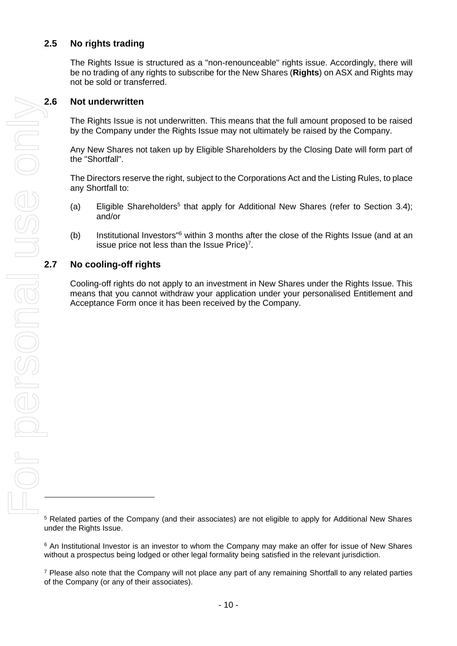#### **2.5 No rights trading**

The Rights Issue is structured as a "non-renounceable" rights issue. Accordingly, there will be no trading of any rights to subscribe for the New Shares (**Rights**) on ASX and Rights may not be sold or transferred.

#### **2.6 Not underwritten**

The Rights Issue is not underwritten. This means that the full amount proposed to be raised by the Company under the Rights Issue may not ultimately be raised by the Company.

Any New Shares not taken up by Eligible Shareholders by the Closing Date will form part of the "Shortfall".

The Directors reserve the right, subject to the Corporations Act and the Listing Rules, to place any Shortfall to:

- (a) Eligible Shareholders<sup>5</sup> that apply for Additional New Shares (refer to Section [3.4\)](#page-16-0); and/or
- (b) Institutional Investors<sup>"6</sup> within 3 months after the close of the Rights Issue (and at an issue price not less than the Issue Price)<sup>7</sup>.

#### **2.7 No cooling-off rights**

Cooling-off rights do not apply to an investment in New Shares under the Rights Issue. This means that you cannot withdraw your application under your personalised Entitlement and Acceptance Form once it has been received by the Company.

<sup>5</sup> Related parties of the Company (and their associates) are not eligible to apply for Additional New Shares under the Rights Issue.

<sup>6</sup> An Institutional Investor is an investor to whom the Company may make an offer for issue of New Shares without a prospectus being lodged or other legal formality being satisfied in the relevant jurisdiction.

<sup>7</sup> Please also note that the Company will not place any part of any remaining Shortfall to any related parties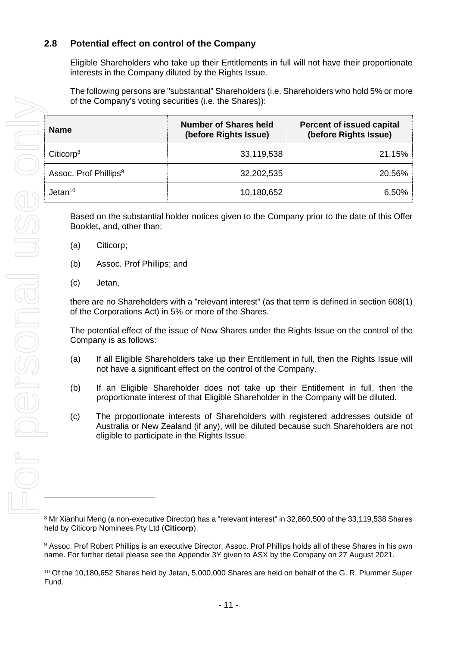#### **2.8 Potential effect on control of the Company**

Eligible Shareholders who take up their Entitlements in full will not have their proportionate interests in the Company diluted by the Rights Issue.

The following persons are "substantial" Shareholders (i.e. Shareholders who hold 5% or more of the Company's voting securities (i.e. the Shares)):

| <b>Name</b>                       | <b>Number of Shares held</b><br>(before Rights Issue) | Percent of issued capital<br>(before Rights Issue) |
|-----------------------------------|-------------------------------------------------------|----------------------------------------------------|
| Citicorp <sup>8</sup>             | 33,119,538                                            | 21.15%                                             |
| Assoc. Prof Phillips <sup>9</sup> | 32,202,535                                            | 20.56%                                             |
| Jetan <sup>10</sup>               | 10,180,652                                            | $6.50\%$                                           |

Based on the substantial holder notices given to the Company prior to the date of this Offer Booklet, and, other than:

- (a) Citicorp;
- (b) Assoc. Prof Phillips; and
- (c) Jetan,

there are no Shareholders with a "relevant interest" (as that term is defined in section 608(1) of the Corporations Act) in 5% or more of the Shares.

The potential effect of the issue of New Shares under the Rights Issue on the control of the Company is as follows:

- (a) If all Eligible Shareholders take up their Entitlement in full, then the Rights Issue will not have a significant effect on the control of the Company.
- (b) If an Eligible Shareholder does not take up their Entitlement in full, then the proportionate interest of that Eligible Shareholder in the Company will be diluted.
- (c) The proportionate interests of Shareholders with registered addresses outside of Australia or New Zealand (if any), will be diluted because such Shareholders are not eligible to participate in the Rights Issue.

<sup>8</sup> Mr Xianhui Meng (a non-executive Director) has a "relevant interest" in 32,860,500 of the 33,119,538 Shares held by Citicorp Nominees Pty Ltd (**Citicorp**).

9 Assoc. Prof Robert Phillips is an executive Director. Assoc. Prof Phillips holds all of these Shares in his own name. For further detail please see the Appendix 3Y given to ASX by the Company on 27 August 2021.

<sup>10</sup> Of the 10,180,652 Shares held by Jetan, 5,000,000 Shares are held on behalf of the G. R. Plummer Super Fund.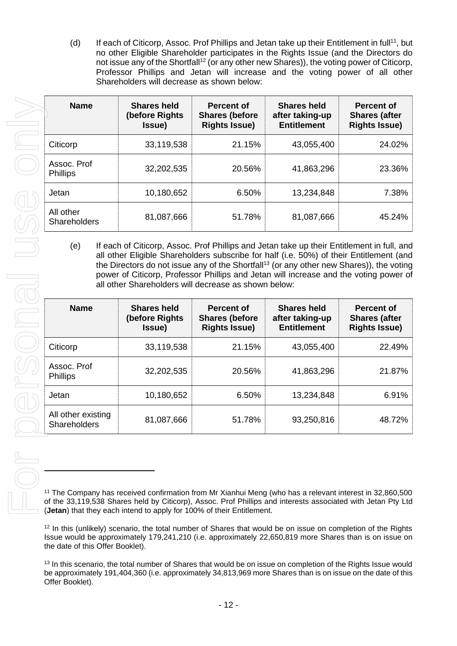(d) If each of Citicorp, Assoc. Prof Phillips and Jetan take up their Entitlement in full<sup>11</sup>, but no other Eligible Shareholder participates in the Rights Issue (and the Directors do not issue any of the Shortfall<sup>12</sup> (or any other new Shares)), the voting power of Citicorp, Professor Phillips and Jetan will increase and the voting power of all other Shareholders will decrease as shown below:

| <b>Name</b>                      | <b>Shares held</b><br>(before Rights)<br>Issue) | <b>Percent of</b><br><b>Shares (before</b><br><b>Rights Issue)</b> | <b>Shares held</b><br>after taking-up<br><b>Entitlement</b> | <b>Percent of</b><br><b>Shares (after</b><br><b>Rights Issue)</b> |
|----------------------------------|-------------------------------------------------|--------------------------------------------------------------------|-------------------------------------------------------------|-------------------------------------------------------------------|
| Citicorp                         | 33,119,538                                      | 21.15%                                                             | 43,055,400                                                  | 24.02%                                                            |
| Assoc. Prof<br><b>Phillips</b>   | 32,202,535                                      | 20.56%                                                             | 41,863,296                                                  | 23.36%                                                            |
| Jetan                            | 10,180,652                                      | 6.50%                                                              | 13,234,848                                                  | 7.38%                                                             |
| All other<br><b>Shareholders</b> | 81,087,666                                      | 51.78%                                                             | 81,087,666                                                  | 45.24%                                                            |

(e) If each of Citicorp, Assoc. Prof Phillips and Jetan take up their Entitlement in full, and all other Eligible Shareholders subscribe for half (i.e. 50%) of their Entitlement (and the Directors do not issue any of the Shortfall<sup>13</sup> (or any other new Shares)), the voting power of Citicorp, Professor Phillips and Jetan will increase and the voting power of all other Shareholders will decrease as shown below:

| <b>Name</b>                               | <b>Shares held</b><br>(before Rights)<br>Issue) | <b>Percent of</b><br><b>Shares (before</b><br><b>Rights Issue)</b> | <b>Shares held</b><br>after taking-up<br><b>Entitlement</b> | <b>Percent of</b><br><b>Shares (after</b><br><b>Rights Issue)</b> |
|-------------------------------------------|-------------------------------------------------|--------------------------------------------------------------------|-------------------------------------------------------------|-------------------------------------------------------------------|
| Citicorp                                  | 33,119,538                                      | 21.15%                                                             | 43,055,400                                                  | 22.49%                                                            |
| Assoc. Prof<br><b>Phillips</b>            | 32,202,535                                      | 20.56%                                                             | 41,863,296                                                  | 21.87%                                                            |
| Jetan                                     | 10,180,652                                      | 6.50%                                                              | 13,234,848                                                  | 6.91%                                                             |
| All other existing<br><b>Shareholders</b> | 81,087,666                                      | 51.78%                                                             | 93,250,816                                                  | 48.72%                                                            |

<sup>11</sup> The Company has received confirmation from Mr Xianhui Meng (who has a relevant interest in 32,860,500 of the 33,119,538 Shares held by Citicorp), Assoc. Prof Phillips and interests associated with Jetan Pty Ltd (**Jetan**) that they each intend to apply for 100% of their Entitlement.

<sup>12</sup> In this (unlikely) scenario, the total number of Shares that would be on issue on completion of the Rights Issue would be approximately 179,241,210 (i.e. approximately 22,650,819 more Shares than is on issue on the date of this Offer Booklet).

<sup>13</sup> In this scenario, the total number of Shares that would be on issue on completion of the Rights Issue would be approximately 191,404,360 (i.e. approximately 34,813,969 more Shares than is on issue on the date of this Offer Booklet).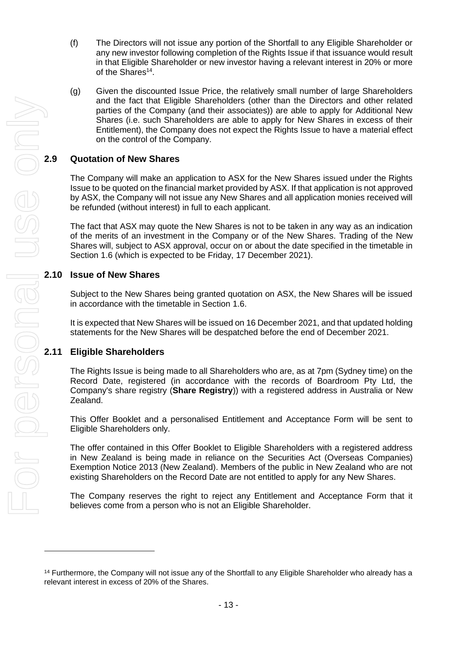- (f) The Directors will not issue any portion of the Shortfall to any Eligible Shareholder or any new investor following completion of the Rights Issue if that issuance would result in that Eligible Shareholder or new investor having a relevant interest in 20% or more of the Shares<sup>14</sup>.
- (g) Given the discounted Issue Price, the relatively small number of large Shareholders and the fact that Eligible Shareholders (other than the Directors and other related parties of the Company (and their associates)) are able to apply for Additional New Shares (i.e. such Shareholders are able to apply for New Shares in excess of their Entitlement), the Company does not expect the Rights Issue to have a material effect on the control of the Company.

The Company will make an application to ASX for the New Shares issued under the Rights Issue to be quoted on the financial market provided by ASX. If that application is not approved by ASX, the Company will not issue any New Shares and all application monies received will be refunded (without interest) in full to each applicant.

The fact that ASX may quote the New Shares is not to be taken in any way as an indication of the merits of an investment in the Company or of the New Shares. Trading of the New Shares will, subject to ASX approval, occur on or about the date specified in the timetable in Section [1.6](#page-5-0) (which is expected to be Friday, 17 December 2021).

#### **2.10 Issue of New Shares**

Subject to the New Shares being granted quotation on ASX, the New Shares will be issued in accordance with the timetable in Section [1.6.](#page-5-0)

It is expected that New Shares will be issued on 16 December 2021, and that updated holding statements for the New Shares will be despatched before the end of December 2021.

### **2.11 Eligible Shareholders**

The Rights Issue is being made to all Shareholders who are, as at 7pm (Sydney time) on the Record Date, registered (in accordance with the records of Boardroom Pty Ltd, the Company's share registry (**Share Registry**)) with a registered address in Australia or New Zealand.

This Offer Booklet and a personalised Entitlement and Acceptance Form will be sent to Eligible Shareholders only.

The offer contained in this Offer Booklet to Eligible Shareholders with a registered address in New Zealand is being made in reliance on th*e* Securities Act (Overseas Companies) Exemption Notice 2013 (New Zealand). Members of the public in New Zealand who are not existing Shareholders on the Record Date are not entitled to apply for any New Shares.

The Company reserves the right to reject any Entitlement and Acceptance Form that it believes come from a person who is not an Eligible Shareholder.

<sup>&</sup>lt;sup>14</sup> Furthermore, the Company will not issue any of the Shortfall to any Eligible Shareholder who already has a<br>relevant interest in excess of 20% of the Shares.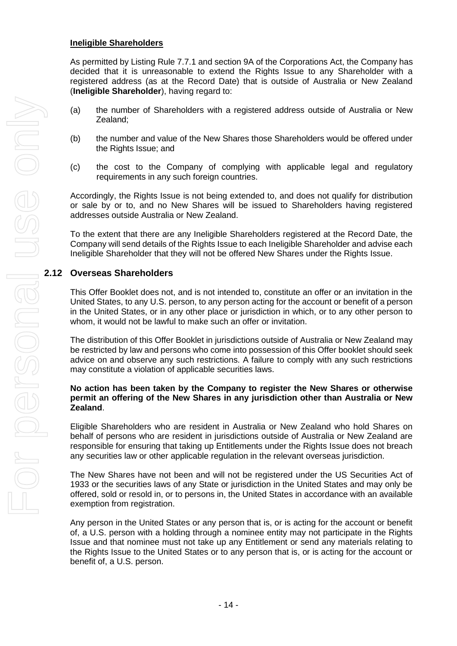#### **Ineligible Shareholders**

As permitted by Listing Rule 7.7.1 and section 9A of the Corporations Act, the Company has decided that it is unreasonable to extend the Rights Issue to any Shareholder with a registered address (as at the Record Date) that is outside of Australia or New Zealand (**Ineligible Shareholder**), having regard to:

- (a) the number of Shareholders with a registered address outside of Australia or New Zealand;
- (b) the number and value of the New Shares those Shareholders would be offered under the Rights Issue; and
- (c) the cost to the Company of complying with applicable legal and regulatory requirements in any such foreign countries.

Accordingly, the Rights Issue is not being extended to, and does not qualify for distribution or sale by or to, and no New Shares will be issued to Shareholders having registered addresses outside Australia or New Zealand.

To the extent that there are any Ineligible Shareholders registered at the Record Date, the Company will send details of the Rights Issue to each Ineligible Shareholder and advise each Ineligible Shareholder that they will not be offered New Shares under the Rights Issue.

This Offer Booklet does not, and is not intended to, constitute an offer or an invitation in the United States, to any U.S. person, to any person acting for the account or benefit of a person in the United States, or in any other place or jurisdiction in which, or to any other person to whom, it would not be lawful to make such an offer or invitation.

The distribution of this Offer Booklet in jurisdictions outside of Australia or New Zealand may be restricted by law and persons who come into possession of this Offer booklet should seek advice on and observe any such restrictions. A failure to comply with any such restrictions may constitute a violation of applicable securities laws.

#### **No action has been taken by the Company to register the New Shares or otherwise permit an offering of the New Shares in any jurisdiction other than Australia or New Zealand**.

Eligible Shareholders who are resident in Australia or New Zealand who hold Shares on behalf of persons who are resident in jurisdictions outside of Australia or New Zealand are responsible for ensuring that taking up Entitlements under the Rights Issue does not breach any securities law or other applicable regulation in the relevant overseas jurisdiction.

The New Shares have not been and will not be registered under the US Securities Act of 1933 or the securities laws of any State or jurisdiction in the United States and may only be offered, sold or resold in, or to persons in, the United States in accordance with an available exemption from registration.

Any person in the United States or any person that is, or is acting for the account or benefit of, a U.S. person with a holding through a nominee entity may not participate in the Rights Issue and that nominee must not take up any Entitlement or send any materials relating to the Rights Issue to the United States or to any person that is, or is acting for the account or benefit of, a U.S. person.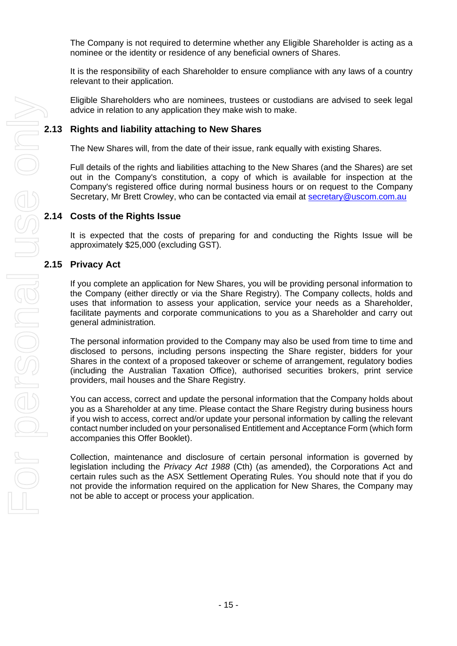The Company is not required to determine whether any Eligible Shareholder is acting as a nominee or the identity or residence of any beneficial owners of Shares.

It is the responsibility of each Shareholder to ensure compliance with any laws of a country relevant to their application.

Eligible Shareholders who are nominees, trustees or custodians are advised to seek legal advice in relation to any application they make wish to make.

#### **2.13 Rights and liability attaching to New Shares**

The New Shares will, from the date of their issue, rank equally with existing Shares.

Full details of the rights and liabilities attaching to the New Shares (and the Shares) are set out in the Company's constitution, a copy of which is available for inspection at the Company's registered office during normal business hours or on request to the Company Secretary, Mr Brett Crowley, who can be contacted via email at [secretary@uscom.com.au](mailto:secretary@uscom.com.au)

#### **2.14 Costs of the Rights Issue**

It is expected that the costs of preparing for and conducting the Rights Issue will be approximately \$25,000 (excluding GST).

#### **2.15 Privacy Act**

If you complete an application for New Shares, you will be providing personal information to the Company (either directly or via the Share Registry). The Company collects, holds and uses that information to assess your application, service your needs as a Shareholder, facilitate payments and corporate communications to you as a Shareholder and carry out general administration.

The personal information provided to the Company may also be used from time to time and disclosed to persons, including persons inspecting the Share register, bidders for your Shares in the context of a proposed takeover or scheme of arrangement, regulatory bodies (including the Australian Taxation Office), authorised securities brokers, print service providers, mail houses and the Share Registry.

You can access, correct and update the personal information that the Company holds about you as a Shareholder at any time. Please contact the Share Registry during business hours if you wish to access, correct and/or update your personal information by calling the relevant contact number included on your personalised Entitlement and Acceptance Form (which form accompanies this Offer Booklet).

Collection, maintenance and disclosure of certain personal information is governed by legislation including the *Privacy Act 1988* (Cth) (as amended), the Corporations Act and certain rules such as the ASX Settlement Operating Rules. You should note that if you do not provide the information required on the application for New Shares, the Company may not be able to accept or process your application.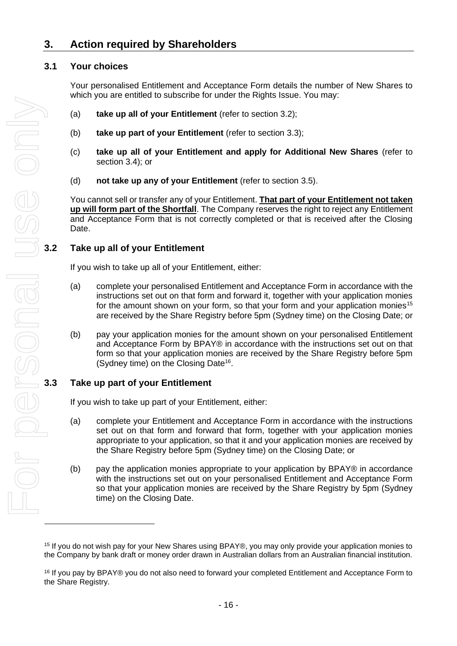### <span id="page-15-0"></span>**3. Action required by Shareholders**

#### **3.1 Your choices**

Your personalised Entitlement and Acceptance Form details the number of New Shares to which you are entitled to subscribe for under the Rights Issue. You may:

- (a) **take up all of your Entitlement** (refer to section [3.2\)](#page-15-1);
- (b) **take up part of your Entitlement** (refer to section [3.3\)](#page-15-2);
- (c) **take up all of your Entitlement and apply for Additional New Shares** (refer to section [3.4\)](#page-16-0); or
- (d) **not take up any of your Entitlement** (refer to section [3.5\)](#page-16-1).

You cannot sell or transfer any of your Entitlement. **That part of your Entitlement not taken up will form part of the Shortfall**. The Company reserves the right to reject any Entitlement and Acceptance Form that is not correctly completed or that is received after the Closing Date.

#### <span id="page-15-1"></span>**3.2 Take up all of your Entitlement**

If you wish to take up all of your Entitlement, either:

- (a) complete your personalised Entitlement and Acceptance Form in accordance with the instructions set out on that form and forward it, together with your application monies for the amount shown on your form, so that your form and your application monies<sup>15</sup> are received by the Share Registry before 5pm (Sydney time) on the Closing Date; or
- (b) pay your application monies for the amount shown on your personalised Entitlement and Acceptance Form by BPAY® in accordance with the instructions set out on that form so that your application monies are received by the Share Registry before 5pm (Sydney time) on the Closing Date<sup>16</sup>.

#### <span id="page-15-2"></span>**3.3 Take up part of your Entitlement**

If you wish to take up part of your Entitlement, either:

- (a) complete your Entitlement and Acceptance Form in accordance with the instructions set out on that form and forward that form, together with your application monies appropriate to your application, so that it and your application monies are received by the Share Registry before 5pm (Sydney time) on the Closing Date; or
- (b) pay the application monies appropriate to your application by BPAY® in accordance with the instructions set out on your personalised Entitlement and Acceptance Form so that your application monies are received by the Share Registry by 5pm (Sydney time) on the Closing Date.

<sup>15</sup> If you do not wish pay for your New Shares using BPAY®, you may only provide your application monies to the Company by bank draft or money order drawn in Australian dollars from an Australian financial institution.

<sup>16</sup> If you pay by BPAY® you do not also need to forward your completed Entitlement and Acceptance Form to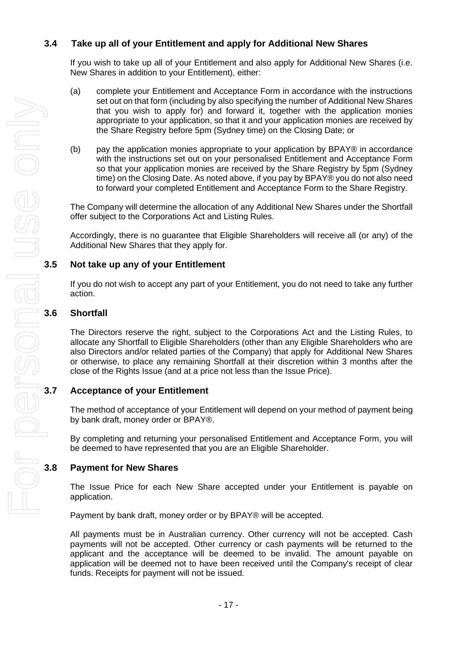#### <span id="page-16-0"></span>**3.4 Take up all of your Entitlement and apply for Additional New Shares**

If you wish to take up all of your Entitlement and also apply for Additional New Shares (i.e. New Shares in addition to your Entitlement), either:

- (a) complete your Entitlement and Acceptance Form in accordance with the instructions set out on that form (including by also specifying the number of Additional New Shares that you wish to apply for) and forward it, together with the application monies appropriate to your application, so that it and your application monies are received by the Share Registry before 5pm (Sydney time) on the Closing Date; or
- (b) pay the application monies appropriate to your application by BPAY® in accordance with the instructions set out on your personalised Entitlement and Acceptance Form so that your application monies are received by the Share Registry by 5pm (Sydney time) on the Closing Date. As noted above, if you pay by BPAY® you do not also need to forward your completed Entitlement and Acceptance Form to the Share Registry.

The Company will determine the allocation of any Additional New Shares under the Shortfall offer subject to the Corporations Act and Listing Rules.

Accordingly, there is no guarantee that Eligible Shareholders will receive all (or any) of the Additional New Shares that they apply for.

#### <span id="page-16-1"></span>**3.5 Not take up any of your Entitlement**

If you do not wish to accept any part of your Entitlement, you do not need to take any further action.

#### **3.6 Shortfall**

The Directors reserve the right, subject to the Corporations Act and the Listing Rules, to allocate any Shortfall to Eligible Shareholders (other than any Eligible Shareholders who are also Directors and/or related parties of the Company) that apply for Additional New Shares or otherwise, to place any remaining Shortfall at their discretion within 3 months after the close of the Rights Issue (and at a price not less than the Issue Price).

#### **3.7 Acceptance of your Entitlement**

The method of acceptance of your Entitlement will depend on your method of payment being by bank draft, money order or BPAY®.

By completing and returning your personalised Entitlement and Acceptance Form, you will be deemed to have represented that you are an Eligible Shareholder.

#### **3.8 Payment for New Shares**

The Issue Price for each New Share accepted under your Entitlement is payable on application.

Payment by bank draft, money order or by BPAY® will be accepted.

All payments must be in Australian currency. Other currency will not be accepted. Cash payments will not be accepted. Other currency or cash payments will be returned to the applicant and the acceptance will be deemed to be invalid. The amount payable on application will be deemed not to have been received until the Company's receipt of clear funds. Receipts for payment will not be issued.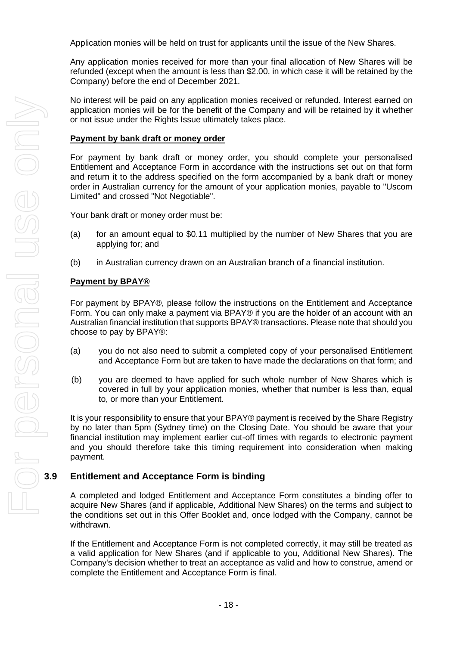Application monies will be held on trust for applicants until the issue of the New Shares.

Any application monies received for more than your final allocation of New Shares will be refunded (except when the amount is less than \$2.00, in which case it will be retained by the Company) before the end of December 2021.

No interest will be paid on any application monies received or refunded. Interest earned on application monies will be for the benefit of the Company and will be retained by it whether or not issue under the Rights Issue ultimately takes place.

#### **Payment by bank draft or money order**

For payment by bank draft or money order, you should complete your personalised Entitlement and Acceptance Form in accordance with the instructions set out on that form and return it to the address specified on the form accompanied by a bank draft or money order in Australian currency for the amount of your application monies, payable to "Uscom Limited" and crossed "Not Negotiable".

Your bank draft or money order must be:

- (a) for an amount equal to \$0.11 multiplied by the number of New Shares that you are applying for; and
- (b) in Australian currency drawn on an Australian branch of a financial institution.

#### **Payment by BPAY®**

For payment by BPAY®, please follow the instructions on the Entitlement and Acceptance Form. You can only make a payment via BPAY® if you are the holder of an account with an Australian financial institution that supports BPAY® transactions. Please note that should you choose to pay by BPAY®:

- (a) you do not also need to submit a completed copy of your personalised Entitlement and Acceptance Form but are taken to have made the declarations on that form; and
- (b) you are deemed to have applied for such whole number of New Shares which is covered in full by your application monies, whether that number is less than, equal to, or more than your Entitlement.

It is your responsibility to ensure that your BPAY® payment is received by the Share Registry by no later than 5pm (Sydney time) on the Closing Date. You should be aware that your financial institution may implement earlier cut-off times with regards to electronic payment and you should therefore take this timing requirement into consideration when making payment.

#### **3.9 Entitlement and Acceptance Form is binding**

A completed and lodged Entitlement and Acceptance Form constitutes a binding offer to acquire New Shares (and if applicable, Additional New Shares) on the terms and subject to the conditions set out in this Offer Booklet and, once lodged with the Company, cannot be withdrawn.

If the Entitlement and Acceptance Form is not completed correctly, it may still be treated as a valid application for New Shares (and if applicable to you, Additional New Shares). The Company's decision whether to treat an acceptance as valid and how to construe, amend or complete the Entitlement and Acceptance Form is final.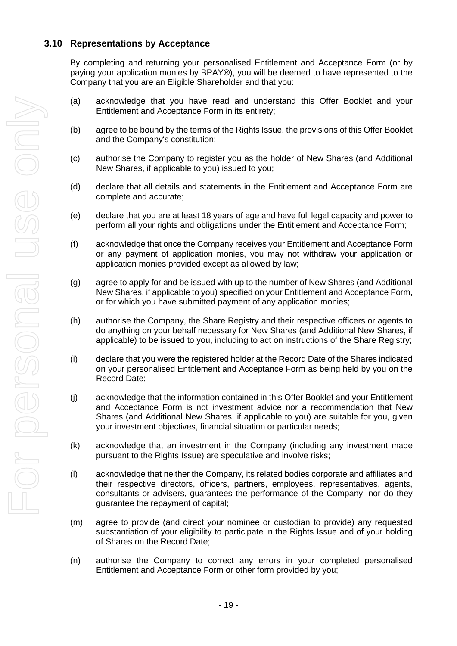#### **3.10 Representations by Acceptance**

By completing and returning your personalised Entitlement and Acceptance Form (or by paying your application monies by BPAY®), you will be deemed to have represented to the Company that you are an Eligible Shareholder and that you:

- (a) acknowledge that you have read and understand this Offer Booklet and your Entitlement and Acceptance Form in its entirety;
- (b) agree to be bound by the terms of the Rights Issue, the provisions of this Offer Booklet and the Company's constitution;
- (c) authorise the Company to register you as the holder of New Shares (and Additional New Shares, if applicable to you) issued to you;
- (d) declare that all details and statements in the Entitlement and Acceptance Form are complete and accurate;
- (e) declare that you are at least 18 years of age and have full legal capacity and power to perform all your rights and obligations under the Entitlement and Acceptance Form;
- (f) acknowledge that once the Company receives your Entitlement and Acceptance Form or any payment of application monies, you may not withdraw your application or application monies provided except as allowed by law;
- (g) agree to apply for and be issued with up to the number of New Shares (and Additional New Shares, if applicable to you) specified on your Entitlement and Acceptance Form, or for which you have submitted payment of any application monies;
- (h) authorise the Company, the Share Registry and their respective officers or agents to do anything on your behalf necessary for New Shares (and Additional New Shares, if applicable) to be issued to you, including to act on instructions of the Share Registry;
- (i) declare that you were the registered holder at the Record Date of the Shares indicated on your personalised Entitlement and Acceptance Form as being held by you on the Record Date;
- (j) acknowledge that the information contained in this Offer Booklet and your Entitlement and Acceptance Form is not investment advice nor a recommendation that New Shares (and Additional New Shares, if applicable to you) are suitable for you, given your investment objectives, financial situation or particular needs;
- (k) acknowledge that an investment in the Company (including any investment made pursuant to the Rights Issue) are speculative and involve risks;
- (l) acknowledge that neither the Company, its related bodies corporate and affiliates and their respective directors, officers, partners, employees, representatives, agents, consultants or advisers, guarantees the performance of the Company, nor do they guarantee the repayment of capital;
- (m) agree to provide (and direct your nominee or custodian to provide) any requested substantiation of your eligibility to participate in the Rights Issue and of your holding of Shares on the Record Date;
- (n) authorise the Company to correct any errors in your completed personalised Entitlement and Acceptance Form or other form provided by you;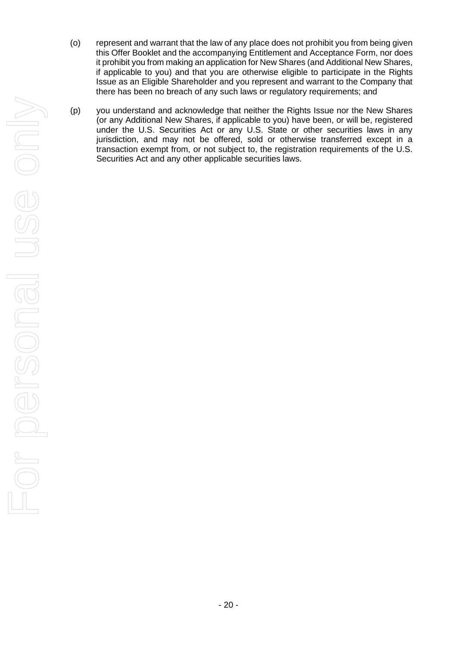- (o) represent and warrant that the law of any place does not prohibit you from being given this Offer Booklet and the accompanying Entitlement and Acceptance Form, nor does it prohibit you from making an application for New Shares (and Additional New Shares, if applicable to you) and that you are otherwise eligible to participate in the Rights Issue as an Eligible Shareholder and you represent and warrant to the Company that there has been no breach of any such laws or regulatory requirements; and
- (p) you understand and acknowledge that neither the Rights Issue nor the New Shares (or any Additional New Shares, if applicable to you) have been, or will be, registered under the U.S. Securities Act or any U.S. State or other securities laws in any jurisdiction, and may not be offered, sold or otherwise transferred except in a transaction exempt from, or not subject to, the registration requirements of the U.S. Securities Act and any other applicable securities laws.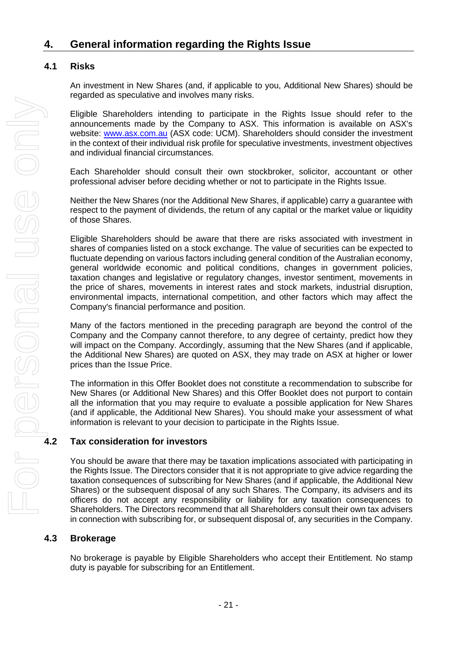### **4. General information regarding the Rights Issue**

#### **4.1 Risks**

An investment in New Shares (and, if applicable to you, Additional New Shares) should be regarded as speculative and involves many risks.

Eligible Shareholders intending to participate in the Rights Issue should refer to the announcements made by the Company to ASX. This information is available on ASX's website: [www.asx.com.au](http://www.asx.com.au/) (ASX code: UCM). Shareholders should consider the investment in the context of their individual risk profile for speculative investments, investment objectives and individual financial circumstances.

Each Shareholder should consult their own stockbroker, solicitor, accountant or other professional adviser before deciding whether or not to participate in the Rights Issue.

Neither the New Shares (nor the Additional New Shares, if applicable) carry a guarantee with respect to the payment of dividends, the return of any capital or the market value or liquidity of those Shares.

Eligible Shareholders should be aware that there are risks associated with investment in shares of companies listed on a stock exchange. The value of securities can be expected to fluctuate depending on various factors including general condition of the Australian economy, general worldwide economic and political conditions, changes in government policies, taxation changes and legislative or regulatory changes, investor sentiment, movements in the price of shares, movements in interest rates and stock markets, industrial disruption, environmental impacts, international competition, and other factors which may affect the Company's financial performance and position.

Many of the factors mentioned in the preceding paragraph are beyond the control of the Company and the Company cannot therefore, to any degree of certainty, predict how they will impact on the Company. Accordingly, assuming that the New Shares (and if applicable, the Additional New Shares) are quoted on ASX, they may trade on ASX at higher or lower prices than the Issue Price.

The information in this Offer Booklet does not constitute a recommendation to subscribe for New Shares (or Additional New Shares) and this Offer Booklet does not purport to contain all the information that you may require to evaluate a possible application for New Shares (and if applicable, the Additional New Shares). You should make your assessment of what information is relevant to your decision to participate in the Rights Issue.

You should be aware that there may be taxation implications associated with participating in the Rights Issue. The Directors consider that it is not appropriate to give advice regarding the taxation consequences of subscribing for New Shares (and if applicable, the Additional New Shares) or the subsequent disposal of any such Shares. The Company, its advisers and its officers do not accept any responsibility or liability for any taxation consequences to Shareholders. The Directors recommend that all Shareholders consult their own tax advisers in connection with subscribing for, or subsequent disposal of, any securities in the Company.

#### **4.3 Brokerage**

No brokerage is payable by Eligible Shareholders who accept their Entitlement. No stamp duty is payable for subscribing for an Entitlement.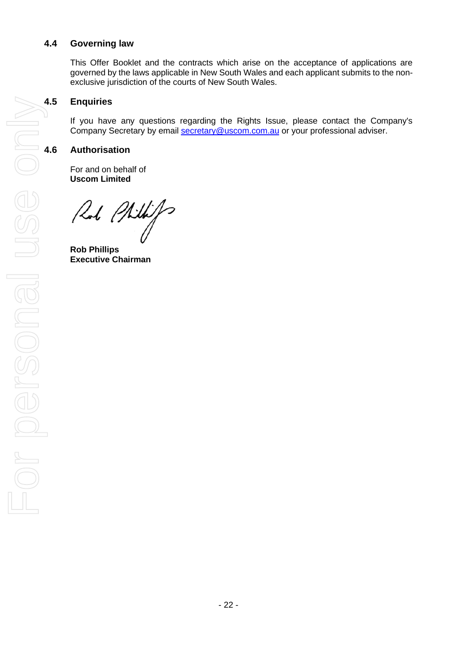#### **4.4 Governing law**

This Offer Booklet and the contracts which arise on the acceptance of applications are governed by the laws applicable in New South Wales and each applicant submits to the nonexclusive jurisdiction of the courts of New South Wales.

### **4.5 Enquiries**

If you have any questions regarding the Rights Issue, please contact the Company's Company Secretary by email [secretary@uscom.com.au](mailto:secretary@uscom.com.au) or your professional adviser.

For and on behalf of **Uscom Limited**

Rob Philips

**Rob Phillips Executive Chairman**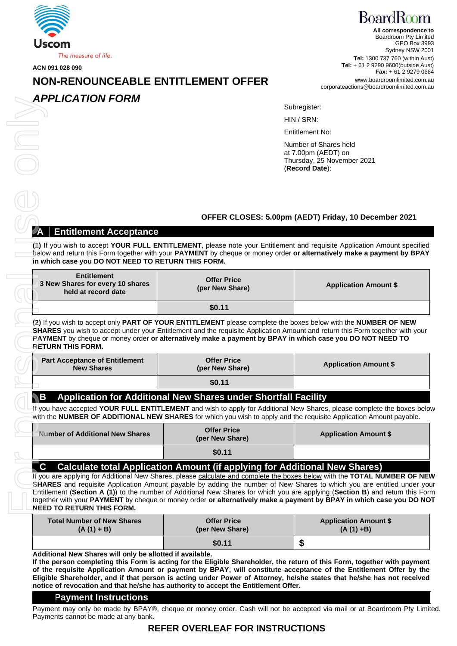

**ACN 091 028 090**

## [www.boardroomlimited.com.au](http://www.registries.com.au/) **NON** corporateactions@boardroomlimited.com.au **-RENOUNCEABLE ENTITLEMENT OFFER**

#### *APPLICATION FORM*

**BoardRoom All correspondence to** Boardroom Pty Limited GPO Box 3993 Sydney NSW 2001 **Tel:** 1300 737 760 (within Aust) **Tel:** + 61 2 9290 9600(outside Aust) **Fax:** + 61 2 9279 0664

#### Subregister:

#### **OFFER CLOSES: 5.00pm (AEDT) Friday, 10 December 2021**

#### **Entitlement Acceptance**

| APPLICATION FORM                                                                                                                    |                                                                                                                                                                                                                                                                                                                                                                                                                                                                                                                                                                                                  |                                                                                              |
|-------------------------------------------------------------------------------------------------------------------------------------|--------------------------------------------------------------------------------------------------------------------------------------------------------------------------------------------------------------------------------------------------------------------------------------------------------------------------------------------------------------------------------------------------------------------------------------------------------------------------------------------------------------------------------------------------------------------------------------------------|----------------------------------------------------------------------------------------------|
|                                                                                                                                     |                                                                                                                                                                                                                                                                                                                                                                                                                                                                                                                                                                                                  | Subregister:                                                                                 |
|                                                                                                                                     |                                                                                                                                                                                                                                                                                                                                                                                                                                                                                                                                                                                                  | HIN / SRN:                                                                                   |
|                                                                                                                                     |                                                                                                                                                                                                                                                                                                                                                                                                                                                                                                                                                                                                  | <b>Entitlement No:</b>                                                                       |
|                                                                                                                                     |                                                                                                                                                                                                                                                                                                                                                                                                                                                                                                                                                                                                  | Number of Shares held<br>at 7.00pm (AEDT) on<br>Thursday, 25 November 2021<br>(Record Date): |
|                                                                                                                                     |                                                                                                                                                                                                                                                                                                                                                                                                                                                                                                                                                                                                  |                                                                                              |
|                                                                                                                                     |                                                                                                                                                                                                                                                                                                                                                                                                                                                                                                                                                                                                  | OFFER CLOSES: 5.00pm (AEDT) Friday, 10 December 2021                                         |
| <b>Entitlement Acceptance</b>                                                                                                       |                                                                                                                                                                                                                                                                                                                                                                                                                                                                                                                                                                                                  |                                                                                              |
| in which case you DO NOT NEED TO RETURN THIS FORM.<br><b>Entitlement</b><br>3 New Shares for every 10 shares<br>held at record date | (1) If you wish to accept YOUR FULL ENTITLEMENT, please note your Entitlement and requisite Application Amount specified<br>below and return this Form together with your PAYMENT by cheque or money order or alternatively make a payment by BPAY<br><b>Offer Price</b><br>(per New Share)                                                                                                                                                                                                                                                                                                      | <b>Application Amount \$</b>                                                                 |
|                                                                                                                                     | \$0.11                                                                                                                                                                                                                                                                                                                                                                                                                                                                                                                                                                                           |                                                                                              |
| <b>RETURN THIS FORM.</b>                                                                                                            | (2) If you wish to accept only PART OF YOUR ENTITLEMENT please complete the boxes below with the NUMBER OF NEW<br>SHARES you wish to accept under your Entitlement and the requisite Application Amount and return this Form together with your<br>PAYMENT by cheque or money order or alternatively make a payment by BPAY in which case you DO NOT NEED TO                                                                                                                                                                                                                                     |                                                                                              |
| <b>Part Acceptance of Entitlement</b><br><b>New Shares</b>                                                                          | <b>Offer Price</b><br>(per New Share)                                                                                                                                                                                                                                                                                                                                                                                                                                                                                                                                                            | <b>Application Amount \$</b>                                                                 |
|                                                                                                                                     | \$0.11                                                                                                                                                                                                                                                                                                                                                                                                                                                                                                                                                                                           |                                                                                              |
| <b>B</b>                                                                                                                            | Application for Additional New Shares under Shortfall Facility                                                                                                                                                                                                                                                                                                                                                                                                                                                                                                                                   |                                                                                              |
|                                                                                                                                     | ff you have accepted YOUR FULL ENTITLEMENT and wish to apply for Additional New Shares, please complete the boxes belo<br>with the NUMBER OF ADDITIONAL NEW SHARES for which you wish to apply and the requisite Application Amount payable.                                                                                                                                                                                                                                                                                                                                                     |                                                                                              |
| <b>Number of Additional New Shares</b>                                                                                              | <b>Offer Price</b><br>(per New Share)                                                                                                                                                                                                                                                                                                                                                                                                                                                                                                                                                            | <b>Application Amount \$</b>                                                                 |
|                                                                                                                                     | \$0.11                                                                                                                                                                                                                                                                                                                                                                                                                                                                                                                                                                                           |                                                                                              |
| $\mathbf c$                                                                                                                         | <b>Calculate total Application Amount (if applying for Additional New Shares)</b><br>If you are applying for Additional New Shares, please calculate and complete the boxes below with the TOTAL NUMBER OF NEW<br>SHARES and requisite Application Amount payable by adding the number of New Shares to which you are entitled under you<br>Entitlement (Section A (1)) to the number of Additional New Shares for which you are applying (Section B) and return this For<br>together with your PAYMENT by cheque or money order or alternatively make a payment by BPAY in which case you DO NO |                                                                                              |

| <b>Part Acceptance of Entitlement</b><br><b>New Shares</b> | <b>Offer Price</b><br>(per New Share) | <b>Application Amount \$</b> |
|------------------------------------------------------------|---------------------------------------|------------------------------|
|                                                            | \$0.11                                |                              |

#### **B Application for Additional New Shares under Shortfall Facility**

| Number of Additional New Shares | <b>Offer Price</b><br>(per New Share) | <b>Application Amount \$</b> |
|---------------------------------|---------------------------------------|------------------------------|
|                                 | \$0.11                                |                              |

#### **C Calculate total Application Amount (if applying for Additional New Shares)**

| <b>Total Number of New Shares</b> | <b>Offer Price</b> | <b>Application Amount \$</b> |
|-----------------------------------|--------------------|------------------------------|
| $(A(1) + B)$                      | (per New Share)    | $(A(1) + B)$                 |
|                                   | \$0.11             | w                            |

**Additional New Shares will only be allotted if available.**

**If the person completing this Form is acting for the Eligible Shareholder, the return of this Form, together with payment of the requisite Application Amount or payment by BPAY, will constitute acceptance of the Entitlement Offer by the Eligible Shareholder, and if that person is acting under Power of Attorney, he/she states that he/she has not received notice of revocation and that he/she has authority to accept the Entitlement Offer.**

#### **Payment Instructions**

Payment may only be made by BPAY®, cheque or money order. Cash will not be accepted via mail or at Boardroom Pty Limited. Payments cannot be made at any bank.

#### **REFER OVERLEAF FOR INSTRUCTIONS**